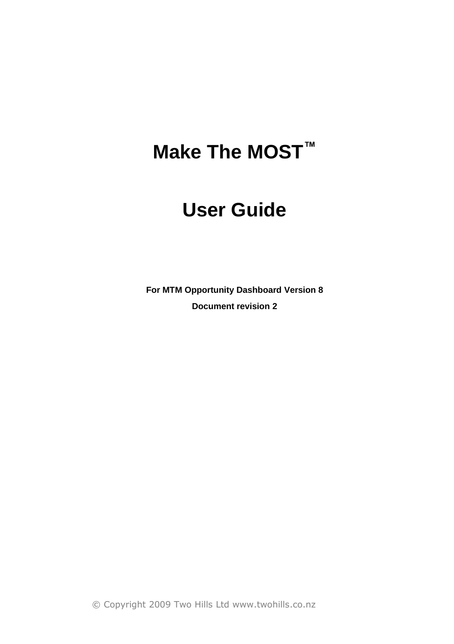# **Make The MOST™**

# **User Guide**

**For MTM Opportunity Dashboard Version 8 Document revision 2**

© Copyright 2009 Two Hills Ltd www.twohills.co.nz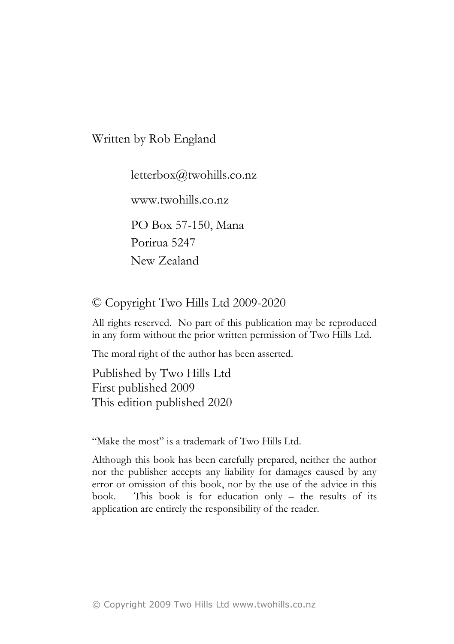Written by Rob England

letterbox@twohills.co.nz

www.twohills.co.nz

PO Box 57-150, Mana Porirua 5247 New Zealand

© Copyright Two Hills Ltd 2009-2020

All rights reserved. No part of this publication may be reproduced in any form without the prior written permission of Two Hills Ltd.

The moral right of the author has been asserted.

Published by Two Hills Ltd First published 2009 This edition published 2020

"Make the most" is a trademark of Two Hills Ltd.

Although this book has been carefully prepared, neither the author nor the publisher accepts any liability for damages caused by any error or omission of this book, nor by the use of the advice in this book. This book is for education only – the results of its application are entirely the responsibility of the reader.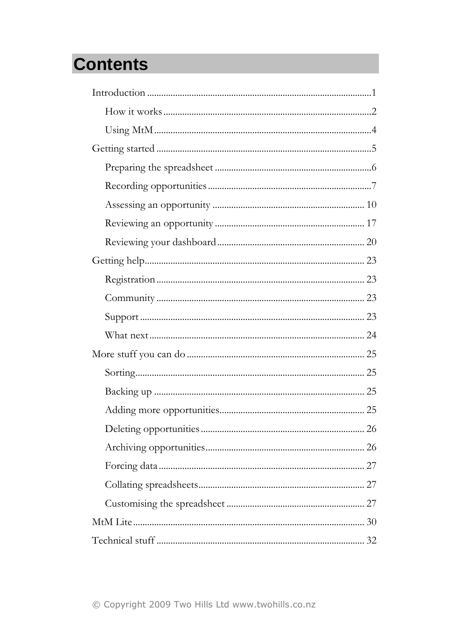# **Contents**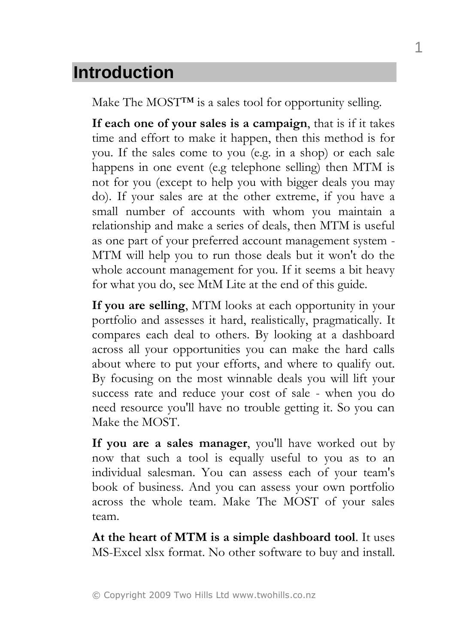# <span id="page-6-0"></span>**Introduction**

Make The MOST<sup>TM</sup> is a sales tool for opportunity selling.

**If each one of your sales is a campaign**, that is if it takes time and effort to make it happen, then this method is for you. If the sales come to you (e.g. in a shop) or each sale happens in one event (e.g telephone selling) then MTM is not for you (except to help you with bigger deals you may do). If your sales are at the other extreme, if you have a small number of accounts with whom you maintain a relationship and make a series of deals, then MTM is useful as one part of your preferred account management system - MTM will help you to run those deals but it won't do the whole account management for you. If it seems a bit heavy for what you do, see MtM Lite at the end of this guide.

**If you are selling**, MTM looks at each opportunity in your portfolio and assesses it hard, realistically, pragmatically. It compares each deal to others. By looking at a dashboard across all your opportunities you can make the hard calls about where to put your efforts, and where to qualify out. By focusing on the most winnable deals you will lift your success rate and reduce your cost of sale - when you do need resource you'll have no trouble getting it. So you can Make the MOST.

**If you are a sales manager**, you'll have worked out by now that such a tool is equally useful to you as to an individual salesman. You can assess each of your team's book of business. And you can assess your own portfolio across the whole team. Make The MOST of your sales team.

**At the heart of MTM is a simple dashboard tool**. It uses MS-Excel xlsx format. No other software to buy and install.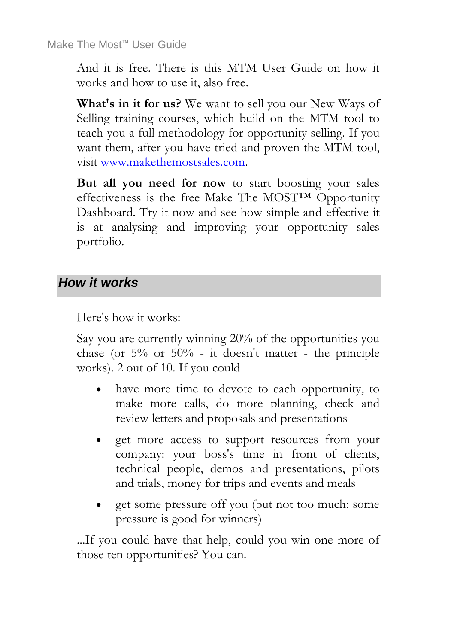Make The Most™ User Guide

And it is free. There is this MTM User Guide on how it works and how to use it, also free.

**What's in it for us?** We want to sell you our New Ways of Selling training courses, which build on the MTM tool to teach you a full methodology for opportunity selling. If you want them, after you have tried and proven the MTM tool, visit [www.makethemostsales.com.](http://www.makethemostsales.com/)

But all you need for now to start boosting your sales effectiveness is the free Make The MOST™ Opportunity Dashboard. Try it now and see how simple and effective it is at analysing and improving your opportunity sales portfolio.

#### <span id="page-7-0"></span>*How it works*

Here's how it works:

Say you are currently winning 20% of the opportunities you chase (or 5% or 50% - it doesn't matter - the principle works). 2 out of 10. If you could

- have more time to devote to each opportunity, to make more calls, do more planning, check and review letters and proposals and presentations
- get more access to support resources from your company: your boss's time in front of clients, technical people, demos and presentations, pilots and trials, money for trips and events and meals
- get some pressure off you (but not too much: some pressure is good for winners)

...If you could have that help, could you win one more of those ten opportunities? You can.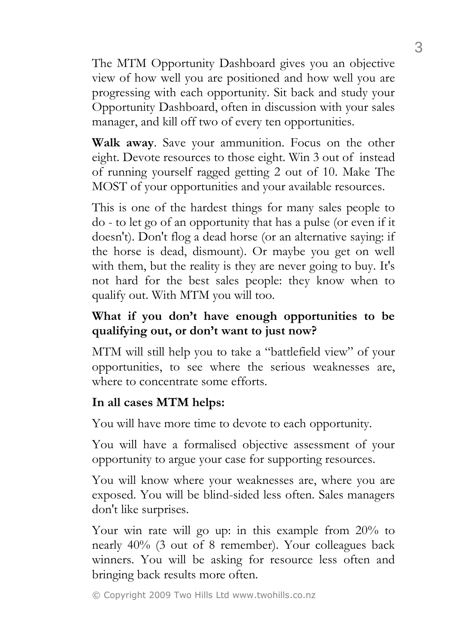The MTM Opportunity Dashboard gives you an objective view of how well you are positioned and how well you are progressing with each opportunity. Sit back and study your Opportunity Dashboard, often in discussion with your sales manager, and kill off two of every ten opportunities.

**Walk away**. Save your ammunition. Focus on the other eight. Devote resources to those eight. Win 3 out of instead of running yourself ragged getting 2 out of 10. Make The MOST of your opportunities and your available resources.

This is one of the hardest things for many sales people to do - to let go of an opportunity that has a pulse (or even if it doesn't). Don't flog a dead horse (or an alternative saying: if the horse is dead, dismount). Or maybe you get on well with them, but the reality is they are never going to buy. It's not hard for the best sales people: they know when to qualify out. With MTM you will too.

#### **What if you don't have enough opportunities to be qualifying out, or don't want to just now?**

MTM will still help you to take a "battlefield view" of your opportunities, to see where the serious weaknesses are, where to concentrate some efforts.

#### **In all cases MTM helps:**

You will have more time to devote to each opportunity.

You will have a formalised objective assessment of your opportunity to argue your case for supporting resources.

You will know where your weaknesses are, where you are exposed. You will be blind-sided less often. Sales managers don't like surprises.

Your win rate will go up: in this example from 20% to nearly 40% (3 out of 8 remember). Your colleagues back winners. You will be asking for resource less often and bringing back results more often.

© Copyright 2009 Two Hills Ltd www.twohills.co.nz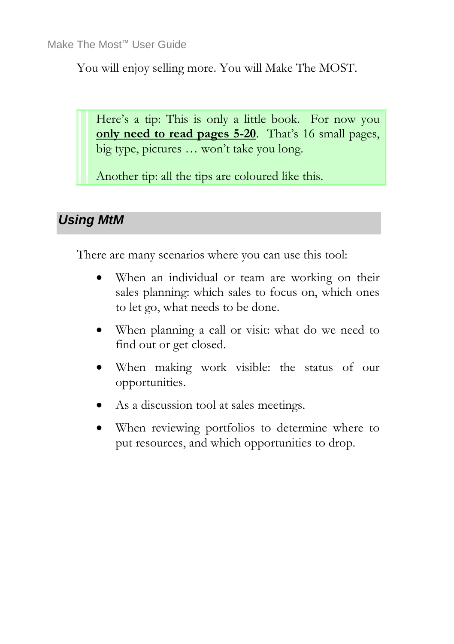You will enjoy selling more. You will Make The MOST.

Here's a tip: This is only a little book. For now you **only need to read pages 5-20**. That's 16 small pages, big type, pictures … won't take you long.

Another tip: all the tips are coloured like this.

## <span id="page-9-0"></span>*Using MtM*

There are many scenarios where you can use this tool:

- When an individual or team are working on their sales planning: which sales to focus on, which ones to let go, what needs to be done.
- When planning a call or visit: what do we need to find out or get closed.
- When making work visible: the status of our opportunities.
- As a discussion tool at sales meetings.
- When reviewing portfolios to determine where to put resources, and which opportunities to drop.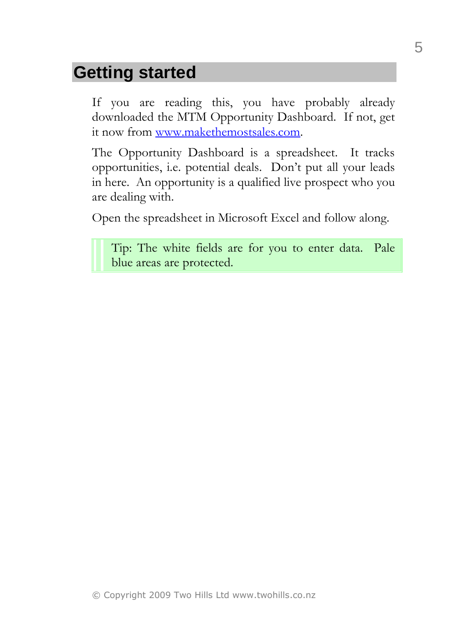# <span id="page-10-0"></span>**Getting started**

If you are reading this, you have probably already downloaded the MTM Opportunity Dashboard. If not, get it now from [www.makethemostsales.com.](http://www.makethemostsales.com/)

The Opportunity Dashboard is a spreadsheet. It tracks opportunities, i.e. potential deals. Don't put all your leads in here. An opportunity is a qualified live prospect who you are dealing with.

Open the spreadsheet in Microsoft Excel and follow along.

Tip: The white fields are for you to enter data. Pale blue areas are protected.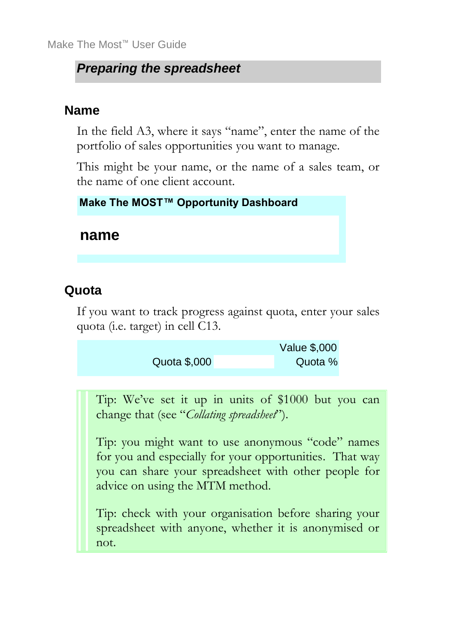### <span id="page-11-0"></span>*Preparing the spreadsheet*

#### **Name**

In the field A3, where it says "name", enter the name of the portfolio of sales opportunities you want to manage.

This might be your name, or the name of a sales team, or the name of one client account.

#### **Make The MOST™ Opportunity Dashboard**

#### **name**

### **Quota**

If you want to track progress against quota, enter your sales quota (i.e. target) in cell C13.

|              | Value \$,000 |
|--------------|--------------|
| Quota \$,000 | Quota %      |

Tip: We've set it up in units of \$1000 but you can change that (see "*[Collating spreadsheet](#page-32-1)*").

Tip: you might want to use anonymous "code" names for you and especially for your opportunities. That way you can share your spreadsheet with other people for advice on using the MTM method.

Tip: check with your organisation before sharing your spreadsheet with anyone, whether it is anonymised or not.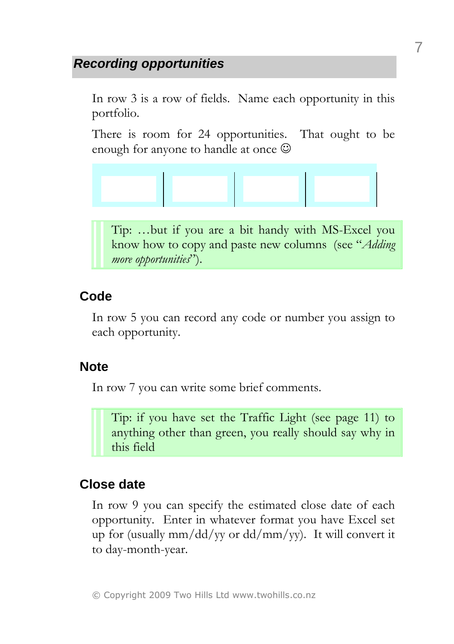## <span id="page-12-0"></span>*Recording opportunities*

In row 3 is a row of fields. Name each opportunity in this portfolio.

There is room for 24 opportunities. That ought to be enough for anyone to handle at once  $\odot$ 



Tip: …but if you are a bit handy with MS-Excel you know how to copy and paste new columns (see "*[Adding](#page-30-3)  [more opportunities](#page-30-3)*").

#### **Code**

In row 5 you can record any code or number you assign to each opportunity.

#### **Note**

In row 7 you can write some brief comments.

Tip: if you have set the Traffic Light (see page 11) to anything other than green, you really should say why in this field

## **Close date**

In row 9 you can specify the estimated close date of each opportunity. Enter in whatever format you have Excel set up for (usually mm/dd/yy or dd/mm/yy). It will convert it to day-month-year.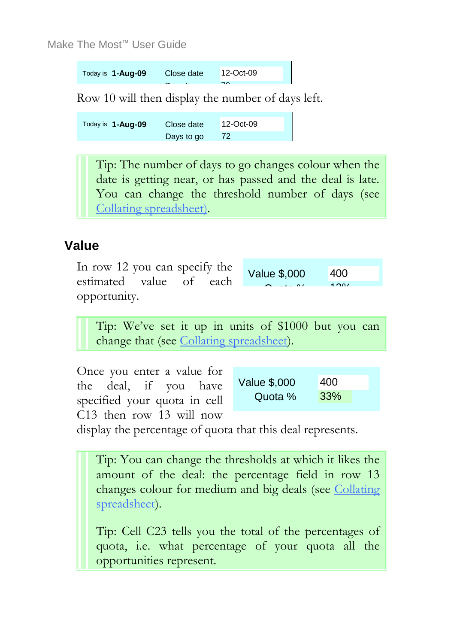Make The Most™ User Guide

| Today is 1-Aug-09 | Close date     | 12-Oct-09                |
|-------------------|----------------|--------------------------|
|                   | Denis de la se | $\overline{\phantom{a}}$ |
|                   |                |                          |

Row 10 will then display the number of days left.

| Today is 1-Aug-09 | Close date | 12-Oct-09 |
|-------------------|------------|-----------|
|                   | Days to go | 72        |

Tip: The number of days to go changes colour when the date is getting near, or has passed and the deal is late. You can change the threshold number of days (see [Collating spreadsheet\)](#page-32-1).

#### **Value**

In row 12 you can specify the estimated value of each opportunity. Value \$,000  $\bigcap_{i=1}^{n} S_i = N$  100/ 400

Tip: We've set it up in units of \$1000 but you can change that (see [Collating spreadsheet\)](#page-32-1).

Once you enter a value for the deal, if you have specified your quota in cell C13 then row 13 will now

| Value \$,000 | 400 |  |
|--------------|-----|--|
| Quota %      | 33% |  |

display the percentage of quota that this deal represents.

Tip: You can change the thresholds at which it likes the amount of the deal: the percentage field in row 13 changes colour for medium and big deals (see [Collating](#page-32-1)  [spreadsheet\)](#page-32-1).

Tip: Cell C23 tells you the total of the percentages of quota, i.e. what percentage of your quota all the opportunities represent.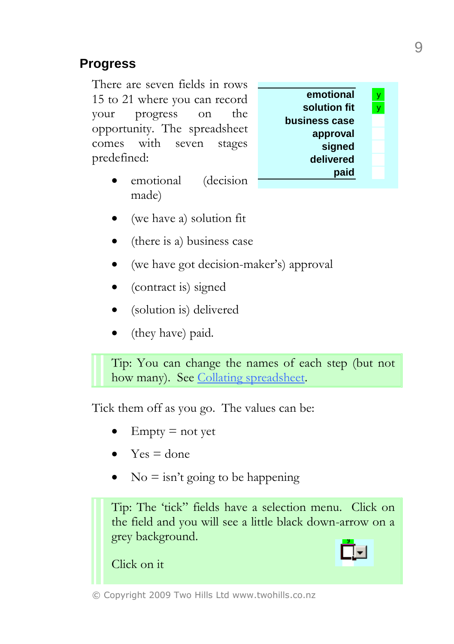# **Progress**

There are seven fields in rows 15 to 21 where you can record your progress on the opportunity. The spreadsheet comes with seven stages predefined:

- emotional (decision made)
- (we have a) solution fit
- (there is a) business case
- (we have got decision-maker's) approval
- (contract is) signed
- (solution is) delivered
- (they have) paid.

Tip: You can change the names of each step (but not how many). See [Collating spreadsheet.](#page-32-1)

Tick them off as you go. The values can be:

- $Empty = not yet$
- $Yes = done$
- $No = \text{isn't going to be happening}$

Tip: The 'tick" fields have a selection menu. Click on the field and you will see a little black down-arrow on a grey background.

Click on it

9

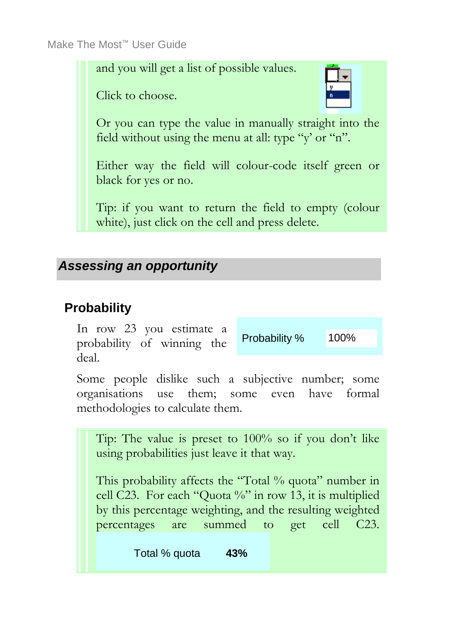Make The Most™ User Guide

and you will get a list of possible values.

Click to choose.



Or you can type the value in manually straight into the field without using the menu at all: type "y' or "n".

Either way the field will colour-code itself green or black for yes or no.

Tip: if you want to return the field to empty (colour white), just click on the cell and press delete.

### <span id="page-15-0"></span>*Assessing an opportunity*

# **Probability**

In row 23 you estimate a probability of winning the deal.

| Probability % | 100% |
|---------------|------|
|---------------|------|

Some people dislike such a subjective number; some organisations use them; some even have formal methodologies to calculate them.

Tip: The value is preset to 100% so if you don't like using probabilities just leave it that way.

This probability affects the "Total % quota" number in cell C23. For each "Quota %" in row 13, it is multiplied by this percentage weighting, and the resulting weighted percentages are summed to get cell C23. of winning the **Probability % 100%**<br>ple dislike such a subjective number; s<br>ns use them; some even have for<br>gies to calculate them.<br>ne value is preset to 100% so if you don't<br>robabilities just leave it that way.<br>obability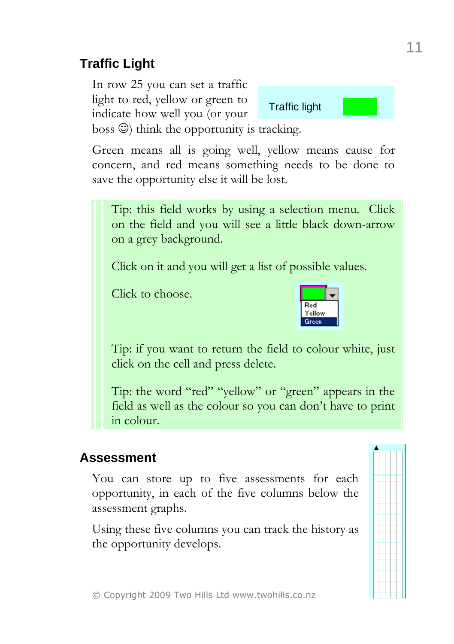# **Traffic Light**

In row 25 you can set a traffic light to red, yellow or green to indicate how well you (or your



boss  $\mathcal{O}$ ) think the opportunity is tracking.

Green means all is going well, yellow means cause for concern, and red means something needs to be done to save the opportunity else it will be lost.



Click on it and you will get a list of possible values.

Click to choose.



Tip: if you want to return the field to colour white, just click on the cell and press delete.

Tip: the word "red" "yellow" or "green" appears in the field as well as the colour so you can don't have to print in colour.

#### **Assessment**

You can store up to five assessments for each opportunity, in each of the five columns below the assessment graphs.

Using these five columns you can track the history as the opportunity develops.

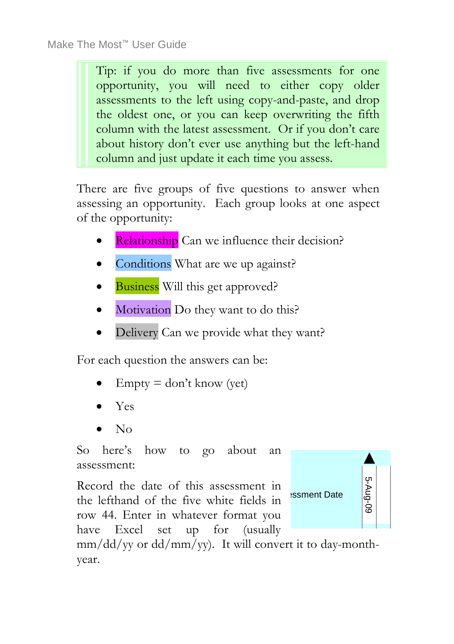Tip: if you do more than five assessments for one opportunity, you will need to either copy older assessments to the left using copy-and-paste, and drop the oldest one, or you can keep overwriting the fifth column with the latest assessment. Or if you don't care about history don't ever use anything but the left-hand column and just update it each time you assess.

There are five groups of five questions to answer when assessing an opportunity. Each group looks at one aspect of the opportunity:

- Relationship Can we influence their decision?
- Conditions What are we up against?
- Business Will this get approved?
- Motivation Do they want to do this?
- Delivery Can we provide what they want?

For each question the answers can be:

- $Empty = don't know (yet)$
- Yes
- No

So here's how to go about an assessment:

Record the date of this assessment in the lefthand of the five white fields in row 44. Enter in whatever format you have Excel set up for (usually



mm/dd/yy or dd/mm/yy). It will convert it to day-monthyear.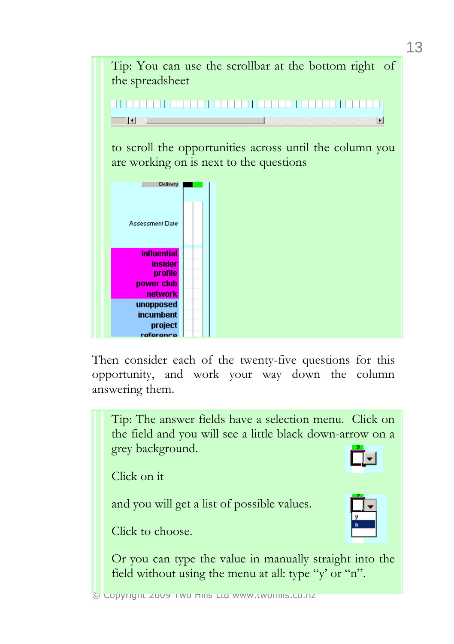

Then consider each of the twenty-five questions for this opportunity, and work your way down the column answering them.

Tip: The answer fields have a selection menu. Click on the field and you will see a little black down-arrow on a grey background.

Click on it

and you will get a list of possible values.

Click to choose.

Or you can type the value in manually straight into the field without using the menu at all: type "y' or "n".

© Copyright 2009 Two Hills Ltd www.twohills.co.nz



| n |  |
|---|--|
|   |  |
|   |  |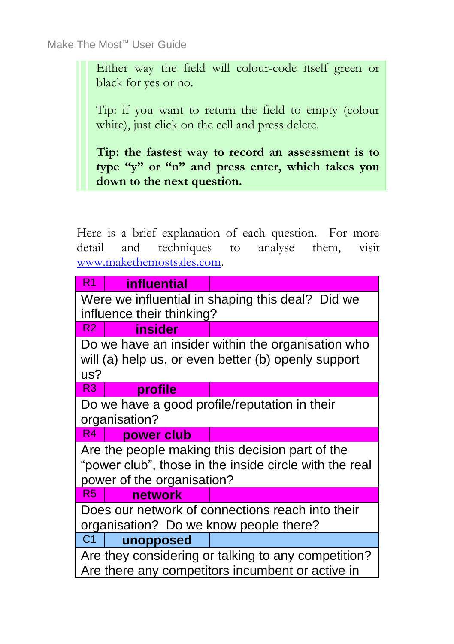Either way the field will colour-code itself green or black for yes or no.

Tip: if you want to return the field to empty (colour white), just click on the cell and press delete.

**Tip: the fastest way to record an assessment is to type "y" or "n" and press enter, which takes you down to the next question.**

Here is a brief explanation of each question. For more detail and techniques to analyse them, visit [www.makethemostsales.com.](http://www.makethemostsales.com/)

| R1                                               | <b>influential</b>         |                                                        |  |  |  |
|--------------------------------------------------|----------------------------|--------------------------------------------------------|--|--|--|
| Were we influential in shaping this deal? Did we |                            |                                                        |  |  |  |
|                                                  | influence their thinking?  |                                                        |  |  |  |
| R <sub>2</sub>                                   | <b>insider</b>             |                                                        |  |  |  |
|                                                  |                            | Do we have an insider within the organisation who      |  |  |  |
|                                                  |                            | will (a) help us, or even better (b) openly support    |  |  |  |
| us?                                              |                            |                                                        |  |  |  |
| R3                                               | profile                    |                                                        |  |  |  |
|                                                  |                            | Do we have a good profile/reputation in their          |  |  |  |
|                                                  | organisation?              |                                                        |  |  |  |
|                                                  |                            |                                                        |  |  |  |
| R4                                               | power club                 |                                                        |  |  |  |
|                                                  |                            | Are the people making this decision part of the        |  |  |  |
|                                                  |                            | "power club", those in the inside circle with the real |  |  |  |
|                                                  | power of the organisation? |                                                        |  |  |  |
| R <sub>5</sub>                                   | network                    |                                                        |  |  |  |
|                                                  |                            | Does our network of connections reach into their       |  |  |  |
|                                                  |                            | organisation? Do we know people there?                 |  |  |  |
| C <sub>1</sub>                                   | unopposed                  |                                                        |  |  |  |
|                                                  |                            | Are they considering or talking to any competition?    |  |  |  |
|                                                  |                            | Are there any competitors incumbent or active in       |  |  |  |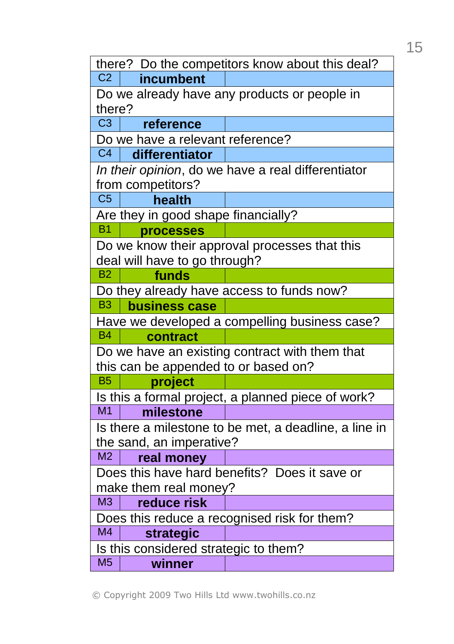|                 |                                       | there? Do the competitors know about this deal?       |
|-----------------|---------------------------------------|-------------------------------------------------------|
| C <sub>2</sub>  | incumbent                             |                                                       |
|                 |                                       | Do we already have any products or people in          |
| there?          |                                       |                                                       |
| $\overline{C3}$ | reference                             |                                                       |
|                 | Do we have a relevant reference?      |                                                       |
| C <sub>4</sub>  | differentiator                        |                                                       |
|                 |                                       | In their opinion, do we have a real differentiator    |
|                 | from competitors?                     |                                                       |
| C <sub>5</sub>  | health                                |                                                       |
|                 | Are they in good shape financially?   |                                                       |
| <b>B1</b>       | processes                             |                                                       |
|                 |                                       | Do we know their approval processes that this         |
|                 | deal will have to go through?         |                                                       |
| <b>B2</b>       | funds                                 |                                                       |
|                 |                                       | Do they already have access to funds now?             |
| <b>B3</b>       | <b>business case</b>                  |                                                       |
|                 |                                       | Have we developed a compelling business case?         |
| <b>B4</b>       | contract                              |                                                       |
|                 |                                       | Do we have an existing contract with them that        |
|                 |                                       | this can be appended to or based on?                  |
| <b>B5</b>       | project                               |                                                       |
|                 |                                       | Is this a formal project, a planned piece of work?    |
| M <sub>1</sub>  | milestone                             |                                                       |
|                 |                                       | Is there a milestone to be met, a deadline, a line in |
|                 | the sand, an imperative?              |                                                       |
| M2              | real money                            |                                                       |
|                 |                                       | Does this have hard benefits? Does it save or         |
|                 | make them real money?                 |                                                       |
| M3              | reduce risk                           |                                                       |
|                 |                                       | Does this reduce a recognised risk for them?          |
| M <sub>4</sub>  | strategic                             |                                                       |
|                 | Is this considered strategic to them? |                                                       |
| M <sub>5</sub>  | winner                                |                                                       |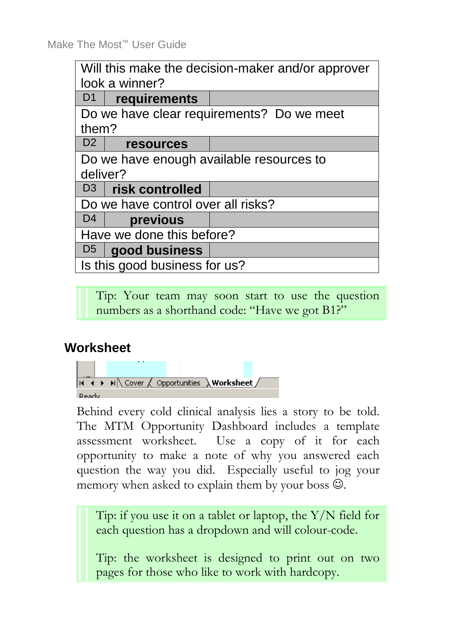|                               | Will this make the decision-maker and/or approver |                                           |  |  |  |
|-------------------------------|---------------------------------------------------|-------------------------------------------|--|--|--|
|                               | look a winner?                                    |                                           |  |  |  |
| D1                            | requirements                                      |                                           |  |  |  |
|                               |                                                   | Do we have clear requirements? Do we meet |  |  |  |
| them?                         |                                                   |                                           |  |  |  |
| D <sub>2</sub>                | <b>resources</b>                                  |                                           |  |  |  |
|                               |                                                   | Do we have enough available resources to  |  |  |  |
| deliver?                      |                                                   |                                           |  |  |  |
| D <sub>3</sub>                | risk controlled                                   |                                           |  |  |  |
|                               | Do we have control over all risks?                |                                           |  |  |  |
| D4                            | previous                                          |                                           |  |  |  |
| Have we done this before?     |                                                   |                                           |  |  |  |
| D <sub>5</sub>                | good business                                     |                                           |  |  |  |
| Is this good business for us? |                                                   |                                           |  |  |  |
|                               |                                                   |                                           |  |  |  |

Tip: Your team may soon start to use the question numbers as a shorthand code: "Have we got B1?"

#### **Worksheet**

|        |  | II ( → M Cover / Opportunities ) Worksheet / |  |  |
|--------|--|----------------------------------------------|--|--|
| -Ready |  |                                              |  |  |

Behind every cold clinical analysis lies a story to be told. The MTM Opportunity Dashboard includes a template assessment worksheet. Use a copy of it for each opportunity to make a note of why you answered each question the way you did. Especially useful to jog your memory when asked to explain them by your boss  $\mathcal{O}$ .

Tip: if you use it on a tablet or laptop, the Y/N field for each question has a dropdown and will colour-code.

Tip: the worksheet is designed to print out on two pages for those who like to work with hardcopy.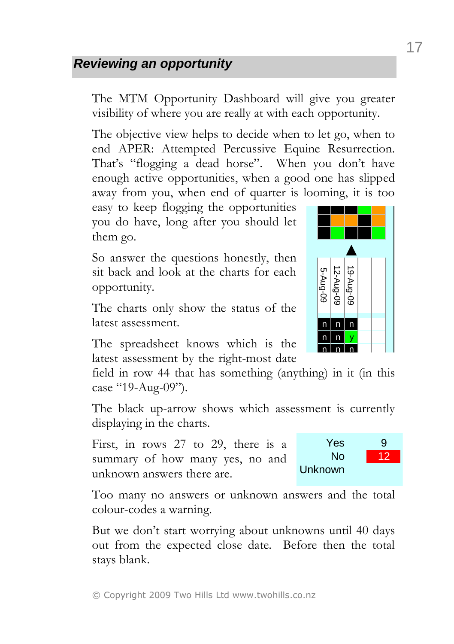#### <span id="page-22-0"></span>*Reviewing an opportunity*

The MTM Opportunity Dashboard will give you greater visibility of where you are really at with each opportunity.

The objective view helps to decide when to let go, when to end APER: Attempted Percussive Equine Resurrection. That's "flogging a dead horse". When you don't have enough active opportunities, when a good one has slipped away from you, when end of quarter is looming, it is too

easy to keep flogging the opportunities you do have, long after you should let them go.

So answer the questions honestly, then sit back and look at the charts for each opportunity.

The charts only show the status of the latest assessment.

The spreadsheet knows which is the latest assessment by the right-most date

field in row 44 that has something (anything) in it (in this case "19-Aug-09").

The black up-arrow shows which assessment is currently displaying in the charts.

First, in rows 27 to 29, there is a summary of how many yes, no and unknown answers there are.

Too many no answers or unknown answers and the total colour-codes a warning.

But we don't start worrying about unknowns until 40 days out from the expected close date. Before then the total stays blank.



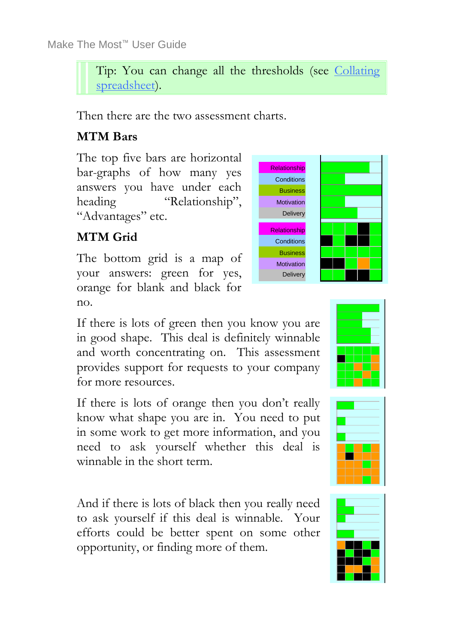Make The Most™ User Guide

Tip: You can change all the thresholds (see [Collating](#page-32-1)  [spreadsheet\)](#page-32-1).

Then there are the two assessment charts.

#### **MTM Bars**

The top five bars are horizontal bar-graphs of how many yes answers you have under each heading "Relationship", "Advantages" etc.



#### **MTM Grid**

The bottom grid is a map of your answers: green for yes, orange for blank and black for no.

If there is lots of green then you know you are in good shape. This deal is definitely winnable and worth concentrating on. This assessment provides support for requests to your company for more resources.

If there is lots of orange then you don't really know what shape you are in. You need to put in some work to get more information, and you need to ask yourself whether this deal is winnable in the short term.

And if there is lots of black then you really need to ask yourself if this deal is winnable. Your efforts could be better spent on some other opportunity, or finding more of them.





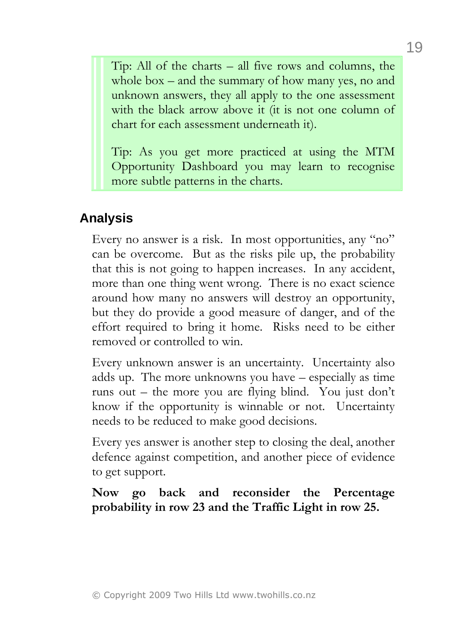Tip: All of the charts – all five rows and columns, the whole box – and the summary of how many yes, no and unknown answers, they all apply to the one assessment with the black arrow above it (it is not one column of chart for each assessment underneath it).

Tip: As you get more practiced at using the MTM Opportunity Dashboard you may learn to recognise more subtle patterns in the charts.

## **Analysis**

Every no answer is a risk. In most opportunities, any "no" can be overcome. But as the risks pile up, the probability that this is not going to happen increases. In any accident, more than one thing went wrong. There is no exact science around how many no answers will destroy an opportunity, but they do provide a good measure of danger, and of the effort required to bring it home. Risks need to be either removed or controlled to win.

Every unknown answer is an uncertainty. Uncertainty also adds up. The more unknowns you have – especially as time runs out – the more you are flying blind. You just don't know if the opportunity is winnable or not. Uncertainty needs to be reduced to make good decisions.

Every yes answer is another step to closing the deal, another defence against competition, and another piece of evidence to get support.

#### **Now go back and reconsider the Percentage probability in row 23 and the Traffic Light in row 25.**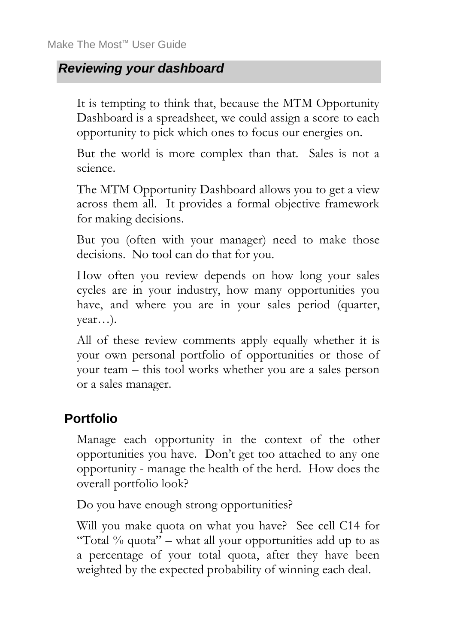#### <span id="page-25-0"></span>*Reviewing your dashboard*

It is tempting to think that, because the MTM Opportunity Dashboard is a spreadsheet, we could assign a score to each opportunity to pick which ones to focus our energies on.

But the world is more complex than that. Sales is not a science.

The MTM Opportunity Dashboard allows you to get a view across them all. It provides a formal objective framework for making decisions.

But you (often with your manager) need to make those decisions. No tool can do that for you.

How often you review depends on how long your sales cycles are in your industry, how many opportunities you have, and where you are in your sales period (quarter, year…).

All of these review comments apply equally whether it is your own personal portfolio of opportunities or those of your team – this tool works whether you are a sales person or a sales manager.

# **Portfolio**

Manage each opportunity in the context of the other opportunities you have. Don't get too attached to any one opportunity - manage the health of the herd. How does the overall portfolio look?

Do you have enough strong opportunities?

Will you make quota on what you have? See cell C14 for "Total  $\%$  quota" – what all your opportunities add up to as a percentage of your total quota, after they have been weighted by the expected probability of winning each deal.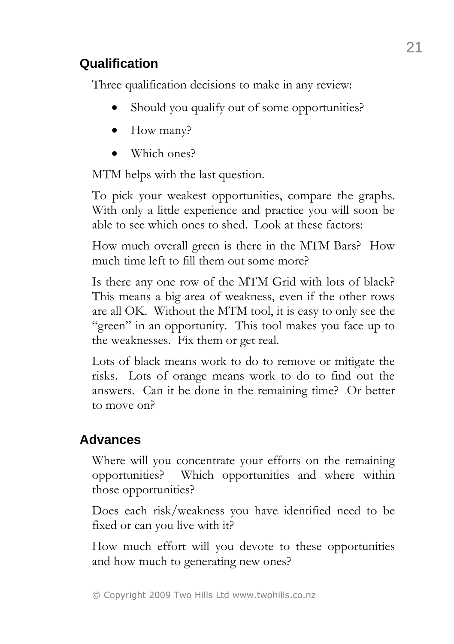# **Qualification**

Three qualification decisions to make in any review:

- Should you qualify out of some opportunities?
- How many?
- Which ones?

MTM helps with the last question.

To pick your weakest opportunities, compare the graphs. With only a little experience and practice you will soon be able to see which ones to shed. Look at these factors:

How much overall green is there in the MTM Bars? How much time left to fill them out some more?

Is there any one row of the MTM Grid with lots of black? This means a big area of weakness, even if the other rows are all OK. Without the MTM tool, it is easy to only see the "green" in an opportunity. This tool makes you face up to the weaknesses. Fix them or get real.

Lots of black means work to do to remove or mitigate the risks. Lots of orange means work to do to find out the answers. Can it be done in the remaining time? Or better to move on?

# **Advances**

Where will you concentrate your efforts on the remaining opportunities? Which opportunities and where within those opportunities?

Does each risk/weakness you have identified need to be fixed or can you live with it?

How much effort will you devote to these opportunities and how much to generating new ones?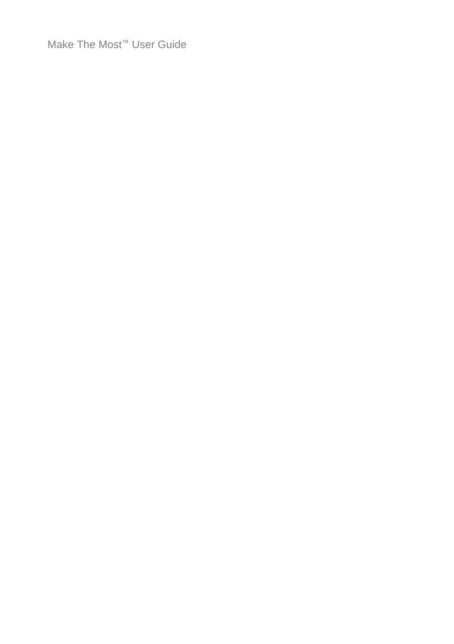Make The Most™ User Guide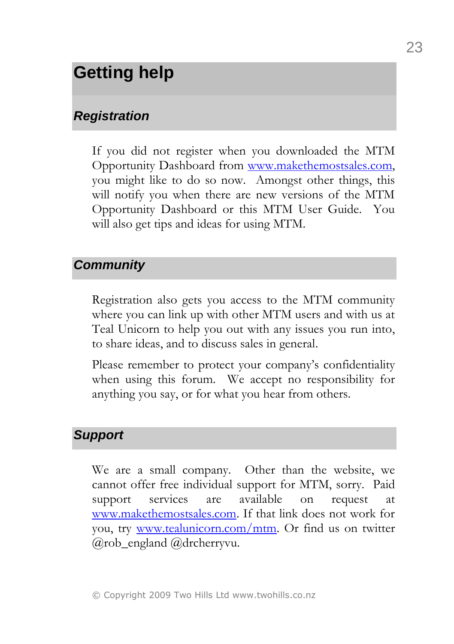# <span id="page-28-0"></span>**Getting help**

#### <span id="page-28-1"></span>*Registration*

If you did not register when you downloaded the MTM Opportunity Dashboard from [www.makethemostsales.com,](http://www.makethemostsales.com/) you might like to do so now. Amongst other things, this will notify you when there are new versions of the MTM Opportunity Dashboard or this MTM User Guide. You will also get tips and ideas for using MTM.

#### <span id="page-28-2"></span>*Community*

Registration also gets you access to the MTM community where you can link up with other MTM users and with us at Teal Unicorn to help you out with any issues you run into, to share ideas, and to discuss sales in general.

Please remember to protect your company's confidentiality when using this forum. We accept no responsibility for anything you say, or for what you hear from others.

#### <span id="page-28-3"></span>*Support*

We are a small company. Other than the website, we cannot offer free individual support for MTM, sorry. Paid support services are available on request at [www.makethemostsales.com.](http://www.makethemostsales.com/) If that link does not work for you, try [www.tealunicorn.com/mtm.](http://www.tealunicorn.com/mtm) Or find us on twitter @rob\_england @drcherryvu.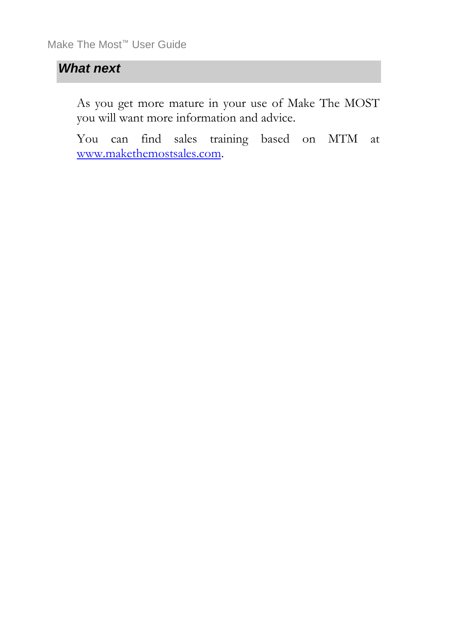## <span id="page-29-0"></span>*What next*

As you get more mature in your use of Make The MOST you will want more information and advice.

You can find sales training based on MTM at [www.makethemostsales.com.](http://www.makethemostsales.com/)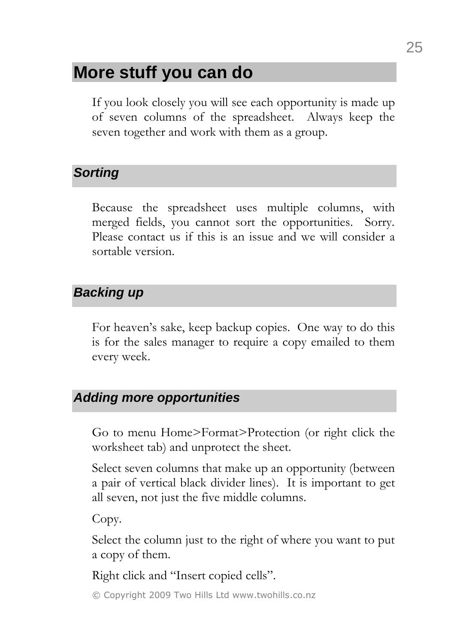# <span id="page-30-0"></span>**More stuff you can do**

If you look closely you will see each opportunity is made up of seven columns of the spreadsheet. Always keep the seven together and work with them as a group.

#### <span id="page-30-1"></span>*Sorting*

Because the spreadsheet uses multiple columns, with merged fields, you cannot sort the opportunities. Sorry. Please contact us if this is an issue and we will consider a sortable version.

#### <span id="page-30-2"></span>*Backing up*

For heaven's sake, keep backup copies. One way to do this is for the sales manager to require a copy emailed to them every week.

#### <span id="page-30-3"></span>*Adding more opportunities*

Go to menu Home>Format>Protection (or right click the worksheet tab) and unprotect the sheet.

Select seven columns that make up an opportunity (between a pair of vertical black divider lines). It is important to get all seven, not just the five middle columns.

Copy.

Select the column just to the right of where you want to put a copy of them.

Right click and "Insert copied cells".

© Copyright 2009 Two Hills Ltd www.twohills.co.nz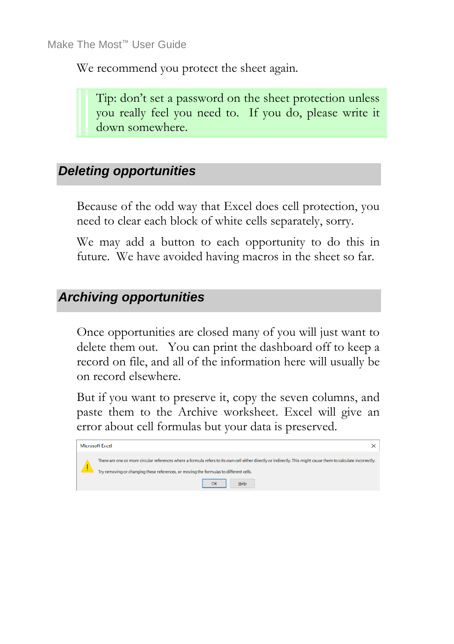We recommend you protect the sheet again.

Tip: don't set a password on the sheet protection unless you really feel you need to. If you do, please write it down somewhere.

#### <span id="page-31-0"></span>*Deleting opportunities*

Because of the odd way that Excel does cell protection, you need to clear each block of white cells separately, sorry.

We may add a button to each opportunity to do this in future. We have avoided having macros in the sheet so far.

#### <span id="page-31-1"></span>*Archiving opportunities*

Once opportunities are closed many of you will just want to delete them out. You can print the dashboard off to keep a record on file, and all of the information here will usually be on record elsewhere.

But if you want to preserve it, copy the seven columns, and paste them to the Archive worksheet. Excel will give an error about cell formulas but your data is preserved.

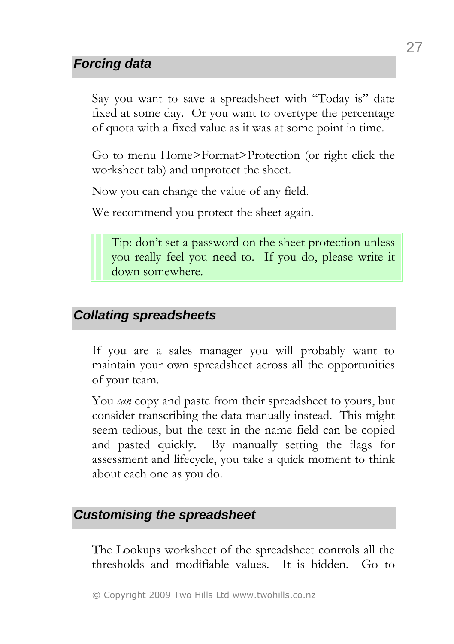#### <span id="page-32-0"></span>*Forcing data*

Say you want to save a spreadsheet with "Today is" date fixed at some day. Or you want to overtype the percentage of quota with a fixed value as it was at some point in time.

Go to menu Home>Format>Protection (or right click the worksheet tab) and unprotect the sheet.

Now you can change the value of any field.

We recommend you protect the sheet again.

Tip: don't set a password on the sheet protection unless you really feel you need to. If you do, please write it down somewhere.

## <span id="page-32-1"></span>*Collating spreadsheets*

If you are a sales manager you will probably want to maintain your own spreadsheet across all the opportunities of your team.

You *can* copy and paste from their spreadsheet to yours, but consider transcribing the data manually instead. This might seem tedious, but the text in the name field can be copied and pasted quickly. By manually setting the flags for assessment and lifecycle, you take a quick moment to think about each one as you do.

#### <span id="page-32-2"></span>*Customising the spreadsheet*

The Lookups worksheet of the spreadsheet controls all the thresholds and modifiable values. It is hidden. Go to

© Copyright 2009 Two Hills Ltd www.twohills.co.nz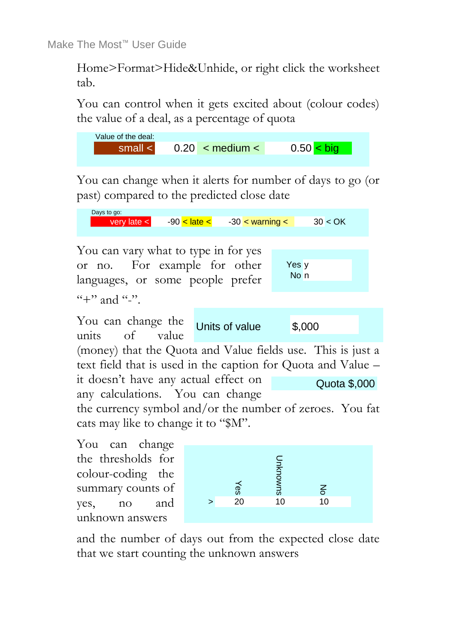Home>Format>Hide&Unhide, or right click the worksheet tab.

You can control when it gets excited about (colour codes) the value of a deal, as a percentage of quota



You can change when it alerts for number of days to go (or past) compared to the predicted close date

| Days to go:                |                |                     |         |
|----------------------------|----------------|---------------------|---------|
| $\sqrt{2}$ very late $\lt$ | $-90$ < late < | $-30 <$ warning $<$ | 30 < OK |
|                            |                |                     |         |

| You can vary what to type in for yes<br>or no. For example for other<br>languages, or some people prefer<br>"+" and "-".                                                            |                | Yes y<br>No n |  |
|-------------------------------------------------------------------------------------------------------------------------------------------------------------------------------------|----------------|---------------|--|
| You can change the<br>units of value                                                                                                                                                | Units of value | \$,000        |  |
| (money) that the Quota and Value fields use. This is just a<br>text field that is used in the caption for Quota and Value -<br>it doesn't have any actual effect on<br>Quota \$,000 |                |               |  |
| any calculations. You can change<br>the currency symbol and/or the number of zeroes. You fat<br>cats may like to change it to "\$M".                                                |                |               |  |

You can change the thresholds for colour-coding the summary counts of yes, no and unknown answers



and the number of days out from the expected close date that we start counting the unknown answers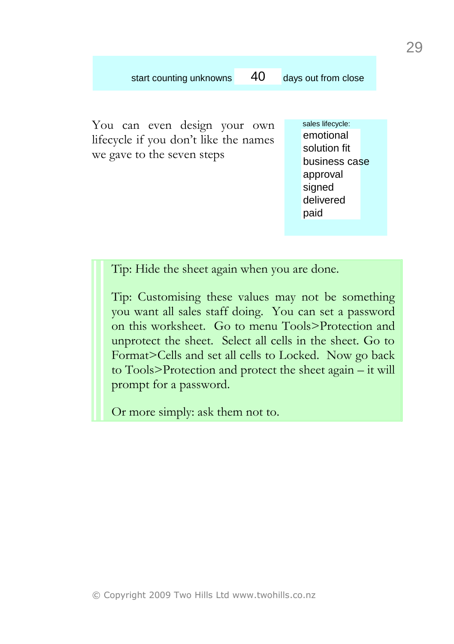You can even design your own lifecycle if you don't like the names we gave to the seven steps

sales lifecycle: emotional solution fit business case approval signed delivered paid

Tip: Hide the sheet again when you are done.

Tip: Customising these values may not be something you want all sales staff doing. You can set a password on this worksheet. Go to menu Tools>Protection and unprotect the sheet. Select all cells in the sheet. Go to Format>Cells and set all cells to Locked. Now go back to Tools>Protection and protect the sheet again – it will prompt for a password.

Or more simply: ask them not to.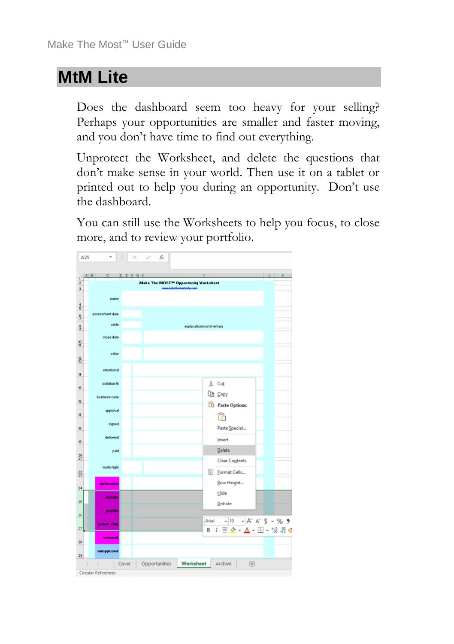# <span id="page-35-0"></span>**MtM Lite**

Does the dashboard seem too heavy for your selling? Perhaps your opportunities are smaller and faster moving, and you don't have time to find out everything.

Unprotect the Worksheet, and delete the questions that don't make sense in your world. Then use it on a tablet or printed out to help you during an opportunity. Don't use the dashboard.

You can still use the Worksheets to help you focus, to close more, and to review your portfolio.

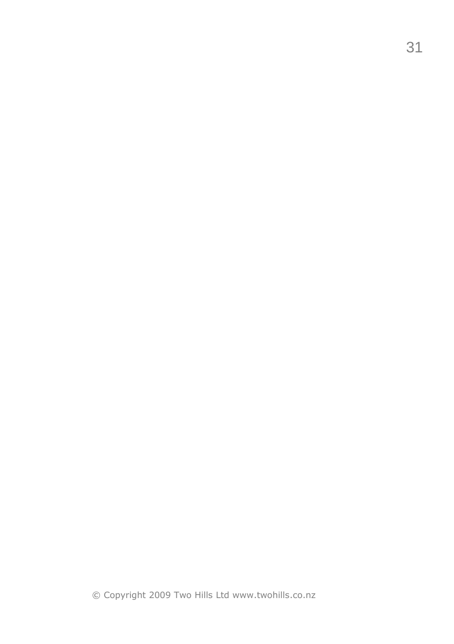© Copyright 2009 Two Hills Ltd www.twohills.co.nz